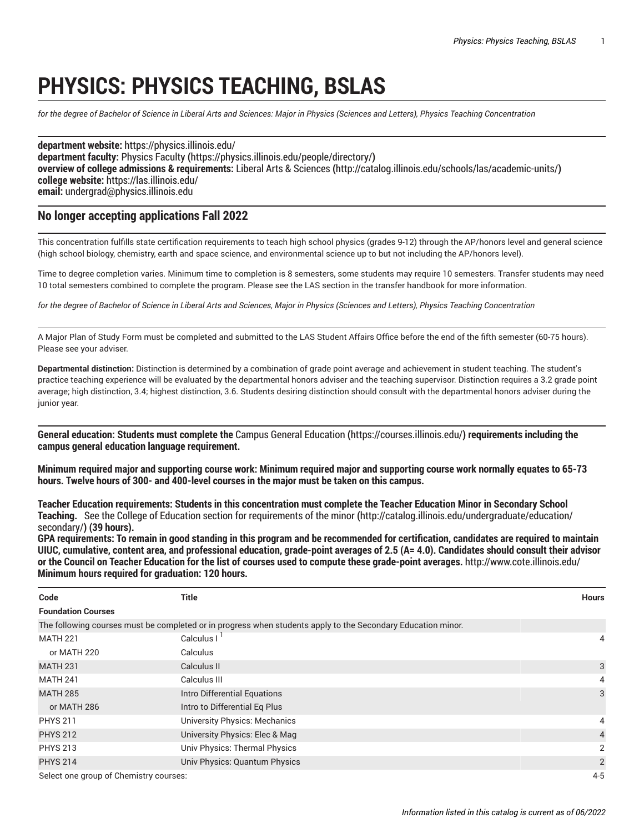## **PHYSICS: PHYSICS TEACHING, BSLAS**

for the degree of Bachelor of Science in Liberal Arts and Sciences: Major in Physics (Sciences and Letters), Physics Teaching Concentration

**department website:** <https://physics.illinois.edu/> **department faculty:** [Physics](https://physics.illinois.edu/people/directory/) Faculty **(**<https://physics.illinois.edu/people/directory/>**) overview of college admissions & requirements:** Liberal Arts & [Sciences](http://catalog.illinois.edu/schools/las/academic-units/) **(**<http://catalog.illinois.edu/schools/las/academic-units/>**) college website:** <https://las.illinois.edu/> **email:** [undergrad@physics.illinois.edu](mailto:undergrad@physics.illinois.edu)

## **No longer accepting applications Fall 2022**

This concentration fulfills state certification requirements to teach high school physics (grades 9-12) through the AP/honors level and general science (high school biology, chemistry, earth and space science, and environmental science up to but not including the AP/honors level).

Time to degree completion varies. Minimum time to completion is 8 semesters, some students may require 10 semesters. Transfer students may need 10 total semesters combined to complete the program. Please see the LAS section in the transfer handbook for more information.

for the degree of Bachelor of Science in Liberal Arts and Sciences, Major in Physics (Sciences and Letters), Physics Teaching Concentration

A Major Plan of Study Form must be completed and submitted to the LAS Student Affairs Office before the end of the fifth semester (60-75 hours). Please see your adviser.

**Departmental distinction:** Distinction is determined by a combination of grade point average and achievement in student teaching. The student's practice teaching experience will be evaluated by the departmental honors adviser and the teaching supervisor. Distinction requires a 3.2 grade point average; high distinction, 3.4; highest distinction, 3.6. Students desiring distinction should consult with the departmental honors adviser during the junior year.

**General education: Students must complete the** Campus General [Education](https://courses.illinois.edu/) **(**<https://courses.illinois.edu/>**) requirements including the campus general education language requirement.**

Minimum required major and supporting course work: Minimum required major and supporting course work normally equates to 65-73 **hours. Twelve hours of 300- and 400-level courses in the major must be taken on this campus.**

Teacher Education requirements: Students in this concentration must complete the Teacher Education Minor in Secondary School **Teaching.** See the College of Education section for [requirements](http://catalog.illinois.edu/undergraduate/education/secondary/) of theminor **(**[http://catalog.illinois.edu/undergraduate/education/](http://catalog.illinois.edu/undergraduate/education/secondary/) [secondary/](http://catalog.illinois.edu/undergraduate/education/secondary/)**) (39 hours).** 

GPA requirements: To remain in good standing in this program and be recommended for certification, candidates are required to maintain UIUC, cumulative, content area, and professional education, grade-point averages of 2.5 (A= 4.0). Candidates should consult their advisor or the Council on Teacher Education for the list of courses used to compute these grade-point averages. <http://www.cote.illinois.edu/> **Minimum hours required for graduation: 120 hours.**

| Code                                  | <b>Title</b>                                                                                                 | <b>Hours</b>   |
|---------------------------------------|--------------------------------------------------------------------------------------------------------------|----------------|
| <b>Foundation Courses</b>             |                                                                                                              |                |
|                                       | The following courses must be completed or in progress when students apply to the Secondary Education minor. |                |
| <b>MATH 221</b>                       | Calculus I                                                                                                   | 4              |
| or MATH 220                           | Calculus                                                                                                     |                |
| <b>MATH 231</b>                       | Calculus II                                                                                                  | 3              |
| <b>MATH 241</b>                       | Calculus III                                                                                                 | 4              |
| <b>MATH 285</b>                       | Intro Differential Equations                                                                                 | 3              |
| or MATH 286                           | Intro to Differential Eq Plus                                                                                |                |
| <b>PHYS 211</b>                       | <b>University Physics: Mechanics</b>                                                                         | 4              |
| <b>PHYS 212</b>                       | University Physics: Elec & Mag                                                                               | $\overline{4}$ |
| <b>PHYS 213</b>                       | Univ Physics: Thermal Physics                                                                                | $\overline{2}$ |
| <b>PHYS 214</b>                       | Univ Physics: Quantum Physics                                                                                | $\overline{2}$ |
| Select one aroun of Chemistry courses | $A-5$                                                                                                        |                |

elect one group of Chemistry courses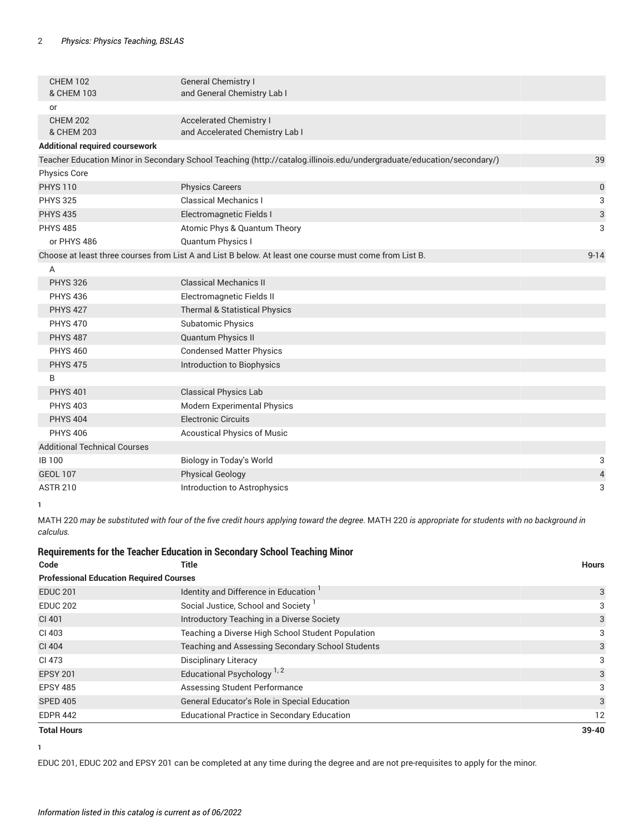| <b>CHEM 102</b><br>& CHEM 103         | <b>General Chemistry I</b><br>and General Chemistry Lab I                                                             |                          |
|---------------------------------------|-----------------------------------------------------------------------------------------------------------------------|--------------------------|
| or                                    |                                                                                                                       |                          |
| <b>CHEM 202</b><br>& CHEM 203         | <b>Accelerated Chemistry I</b><br>and Accelerated Chemistry Lab I                                                     |                          |
| <b>Additional required coursework</b> |                                                                                                                       |                          |
|                                       | Teacher Education Minor in Secondary School Teaching (http://catalog.illinois.edu/undergraduate/education/secondary/) | 39                       |
| Physics Core                          |                                                                                                                       |                          |
| <b>PHYS 110</b>                       | <b>Physics Careers</b>                                                                                                | $\pmb{0}$                |
| <b>PHYS 325</b>                       | <b>Classical Mechanics I</b>                                                                                          | 3                        |
| <b>PHYS 435</b>                       | Electromagnetic Fields I                                                                                              | $\sqrt{3}$               |
| <b>PHYS 485</b>                       | Atomic Phys & Quantum Theory                                                                                          | 3                        |
| or PHYS 486                           | Quantum Physics I                                                                                                     |                          |
|                                       | Choose at least three courses from List A and List B below. At least one course must come from List B.                | $9 - 14$                 |
| A                                     |                                                                                                                       |                          |
| <b>PHYS 326</b>                       | <b>Classical Mechanics II</b>                                                                                         |                          |
| <b>PHYS 436</b>                       | Electromagnetic Fields II                                                                                             |                          |
| <b>PHYS 427</b>                       | Thermal & Statistical Physics                                                                                         |                          |
| <b>PHYS 470</b>                       | <b>Subatomic Physics</b>                                                                                              |                          |
| <b>PHYS 487</b>                       | Quantum Physics II                                                                                                    |                          |
| <b>PHYS 460</b>                       | <b>Condensed Matter Physics</b>                                                                                       |                          |
| <b>PHYS 475</b>                       | Introduction to Biophysics                                                                                            |                          |
| B                                     |                                                                                                                       |                          |
| <b>PHYS 401</b>                       | <b>Classical Physics Lab</b>                                                                                          |                          |
| <b>PHYS 403</b>                       | Modern Experimental Physics                                                                                           |                          |
| <b>PHYS 404</b>                       | <b>Electronic Circuits</b>                                                                                            |                          |
| <b>PHYS 406</b>                       | <b>Acoustical Physics of Music</b>                                                                                    |                          |
| <b>Additional Technical Courses</b>   |                                                                                                                       |                          |
| <b>IB100</b>                          | Biology in Today's World                                                                                              | 3                        |
| <b>GEOL 107</b>                       | <b>Physical Geology</b>                                                                                               | $\overline{\mathcal{L}}$ |
| <b>ASTR 210</b>                       | Introduction to Astrophysics                                                                                          | 3                        |

**1**

[MATH](/search/?P=MATH%20220) 220 may be substituted with four of the five credit hours applying toward the degree. MATH 220 is appropriate for students with no background in *calculus.*

## **Requirements for the Teacher Education in Secondary School Teaching Minor**

| Code                                           | Title                                              | <b>Hours</b> |  |
|------------------------------------------------|----------------------------------------------------|--------------|--|
| <b>Professional Education Required Courses</b> |                                                    |              |  |
| <b>EDUC 201</b>                                | Identity and Difference in Education               | 3            |  |
| <b>EDUC 202</b>                                | Social Justice, School and Society                 | 3            |  |
| CI 401                                         | Introductory Teaching in a Diverse Society         | 3            |  |
| CI 403                                         | Teaching a Diverse High School Student Population  | 3            |  |
| CI 404                                         | Teaching and Assessing Secondary School Students   | 3            |  |
| CI 473                                         | <b>Disciplinary Literacy</b>                       | 3            |  |
| <b>EPSY 201</b>                                | Educational Psychology <sup>1,2</sup>              | 3            |  |
| <b>EPSY 485</b>                                | Assessing Student Performance                      | 3            |  |
| <b>SPED 405</b>                                | General Educator's Role in Special Education       | 3            |  |
| <b>EDPR 442</b>                                | <b>Educational Practice in Secondary Education</b> | 12           |  |
| <b>Total Hours</b>                             |                                                    | $39 - 40$    |  |

**<sup>1</sup>**

EDUC 201, EDUC 202 and EPSY 201 can be completed at any time during the degree and are not pre-requisites to apply for the minor.